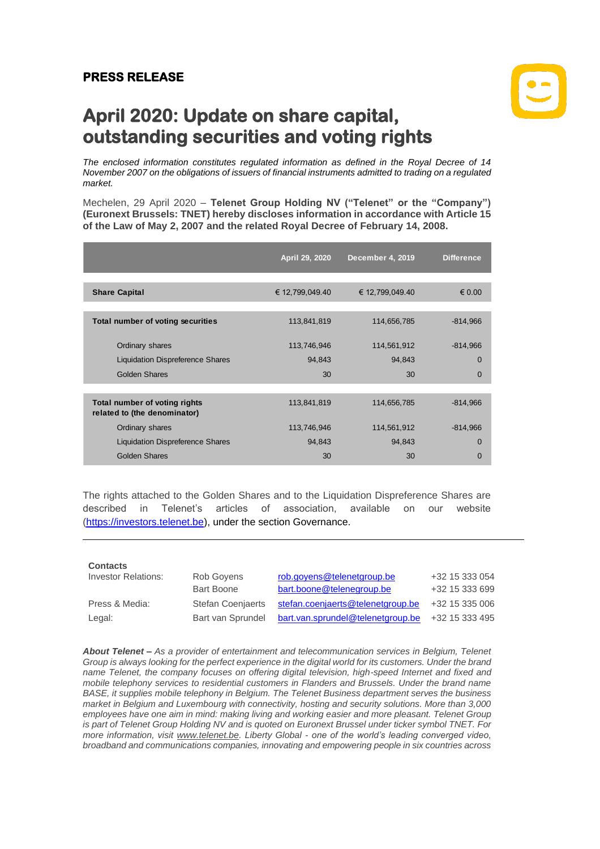## **PRESS RELEASE**



## **April 2020: Update on share capital, outstanding securities and voting rights**

*The enclosed information constitutes regulated information as defined in the Royal Decree of 14 November 2007 on the obligations of issuers of financial instruments admitted to trading on a regulated market.*

Mechelen, 29 April 2020 – **Telenet Group Holding NV ("Telenet" or the "Company") (Euronext Brussels: TNET) hereby discloses information in accordance with Article 15 of the Law of May 2, 2007 and the related Royal Decree of February 14, 2008.**

|                                                               | April 29, 2020  | <b>December 4, 2019</b> | <b>Difference</b> |
|---------------------------------------------------------------|-----------------|-------------------------|-------------------|
|                                                               |                 |                         |                   |
| <b>Share Capital</b>                                          | € 12,799,049.40 | € 12,799,049.40         | $\epsilon$ 0.00   |
|                                                               |                 |                         |                   |
| Total number of voting securities                             | 113,841,819     | 114,656,785             | $-814,966$        |
|                                                               |                 |                         |                   |
| Ordinary shares                                               | 113,746,946     | 114,561,912             | $-814,966$        |
| <b>Liquidation Dispreference Shares</b>                       | 94,843          | 94,843                  | $\Omega$          |
| Golden Shares                                                 | 30              | 30                      | $\Omega$          |
|                                                               |                 |                         |                   |
| Total number of voting rights<br>related to (the denominator) | 113,841,819     | 114,656,785             | $-814,966$        |
| Ordinary shares                                               | 113,746,946     | 114,561,912             | $-814,966$        |
| <b>Liquidation Dispreference Shares</b>                       | 94,843          | 94,843                  | $\Omega$          |
| Golden Shares                                                 | 30              | 30                      | $\Omega$          |
|                                                               |                 |                         |                   |

The rights attached to the Golden Shares and to the Liquidation Dispreference Shares are described in Telenet's articles of association, available on our website [\(https://investors.telenet.be\)](https://investors.telenet.be/), under the section Governance.

| <b>Contacts</b>            |                          |                                   |                |
|----------------------------|--------------------------|-----------------------------------|----------------|
| <b>Investor Relations:</b> | Rob Govens               | rob.goyens@telenetgroup.be        | +32 15 333 054 |
|                            | <b>Bart Boone</b>        | bart.boone@telenegroup.be         | +32 15 333 699 |
| Press & Media:             | <b>Stefan Coenjaerts</b> | stefan.coenjaerts@telenetgroup.be | +32 15 335 006 |
| Legal:                     | Bart van Sprundel        | bart.van.sprundel@telenetgroup.be | +32 15 333 495 |

*About Telenet – As a provider of entertainment and telecommunication services in Belgium, Telenet Group is always looking for the perfect experience in the digital world for its customers. Under the brand name Telenet, the company focuses on offering digital television, high-speed Internet and fixed and mobile telephony services to residential customers in Flanders and Brussels. Under the brand name BASE, it supplies mobile telephony in Belgium. The Telenet Business department serves the business market in Belgium and Luxembourg with connectivity, hosting and security solutions. More than 3,000*  employees have one aim in mind: making living and working easier and more pleasant. Telenet Group *is part of Telenet Group Holding NV and is quoted on Euronext Brussel under ticker symbol TNET. For more information, visit [www.telenet.be.](https://www2.telenet.be/en/) Liberty Global - one of the world's leading converged video, broadband and communications companies, innovating and empowering people in six countries across*